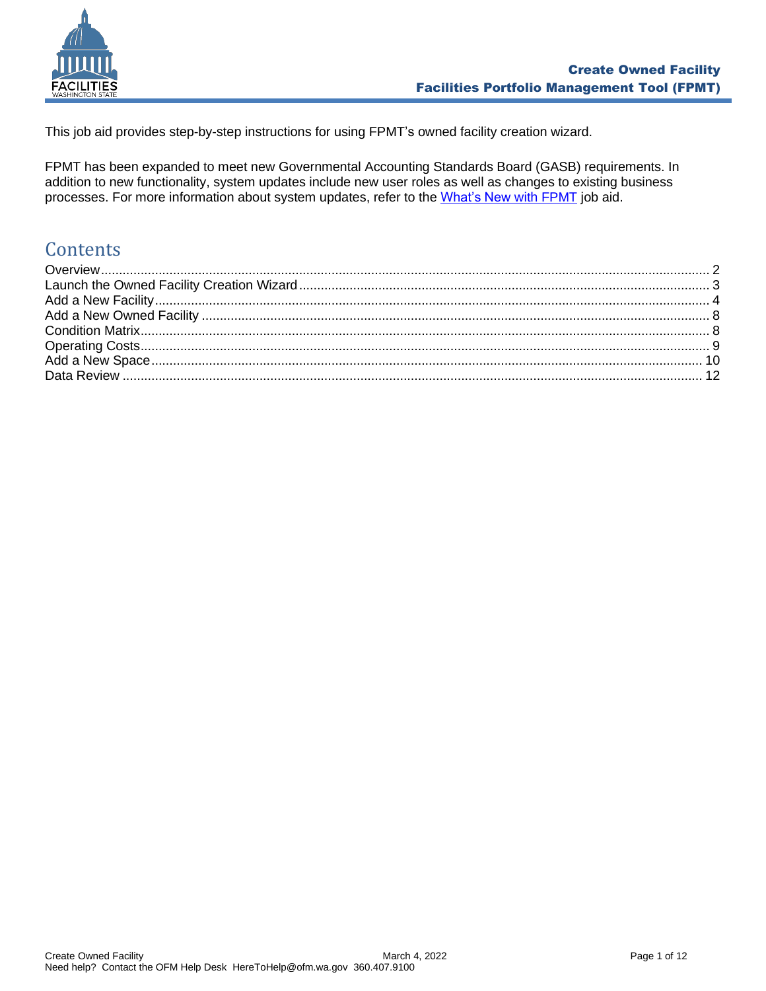

This job aid provides step-by-step instructions for using FPMT's owned facility creation wizard.

FPMT has been expanded to meet new Governmental Accounting Standards Board (GASB) requirements. In addition to new functionality, system updates include new user roles as well as changes to existing business processes. For more information about system updates, refer to the [What's New with](https://ofm.wa.gov/sites/default/files/public/itsystems/FPMT/What%27s%20New%20with%20FPMT.pdf) FPMT job aid.

# **Contents**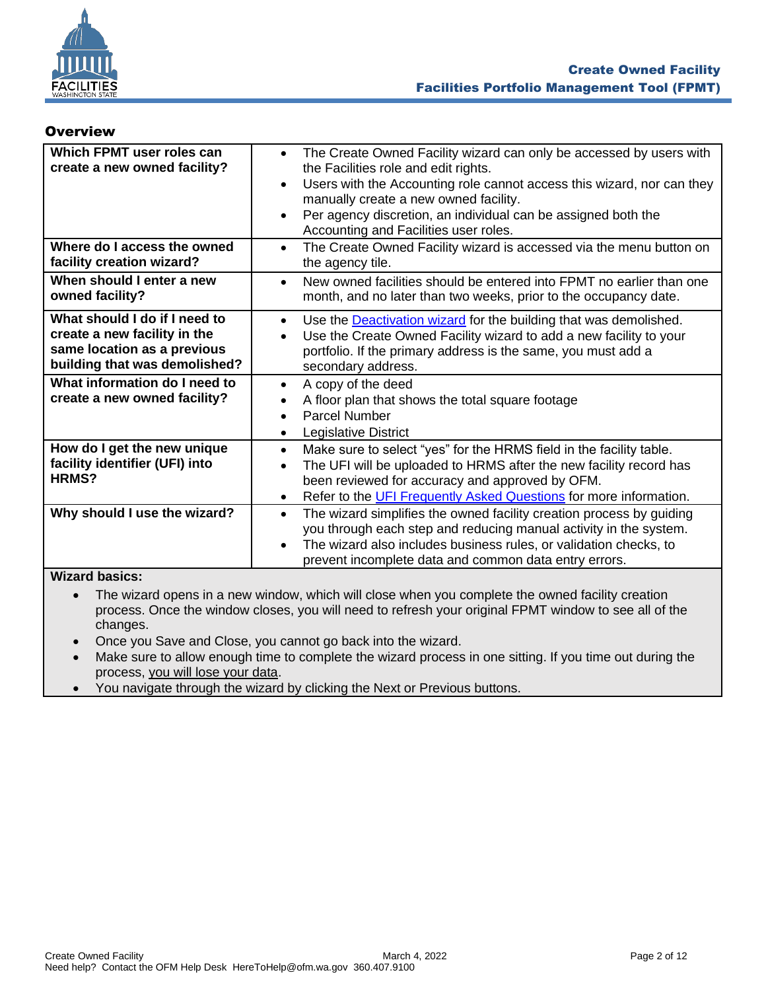

#### <span id="page-1-0"></span>**Overview**

| Which FPMT user roles can<br>create a new owned facility?                                                                     | The Create Owned Facility wizard can only be accessed by users with<br>$\bullet$<br>the Facilities role and edit rights.<br>Users with the Accounting role cannot access this wizard, nor can they<br>$\bullet$<br>manually create a new owned facility.<br>Per agency discretion, an individual can be assigned both the<br>$\bullet$<br>Accounting and Facilities user roles. |
|-------------------------------------------------------------------------------------------------------------------------------|---------------------------------------------------------------------------------------------------------------------------------------------------------------------------------------------------------------------------------------------------------------------------------------------------------------------------------------------------------------------------------|
| Where do I access the owned<br>facility creation wizard?                                                                      | The Create Owned Facility wizard is accessed via the menu button on<br>$\bullet$<br>the agency tile.                                                                                                                                                                                                                                                                            |
| When should I enter a new<br>owned facility?                                                                                  | New owned facilities should be entered into FPMT no earlier than one<br>$\bullet$<br>month, and no later than two weeks, prior to the occupancy date.                                                                                                                                                                                                                           |
| What should I do if I need to<br>create a new facility in the<br>same location as a previous<br>building that was demolished? | Use the <b>Deactivation wizard</b> for the building that was demolished.<br>$\bullet$<br>Use the Create Owned Facility wizard to add a new facility to your<br>$\bullet$<br>portfolio. If the primary address is the same, you must add a<br>secondary address.                                                                                                                 |
| What information do I need to<br>create a new owned facility?                                                                 | A copy of the deed<br>$\bullet$<br>A floor plan that shows the total square footage<br><b>Parcel Number</b><br>٠<br>Legislative District<br>$\bullet$                                                                                                                                                                                                                           |
| How do I get the new unique<br>facility identifier (UFI) into<br>HRMS?                                                        | Make sure to select "yes" for the HRMS field in the facility table.<br>$\bullet$<br>The UFI will be uploaded to HRMS after the new facility record has<br>$\bullet$<br>been reviewed for accuracy and approved by OFM.<br>Refer to the UFI Frequently Asked Questions for more information.<br>$\bullet$                                                                        |
| Why should I use the wizard?                                                                                                  | The wizard simplifies the owned facility creation process by guiding<br>$\bullet$<br>you through each step and reducing manual activity in the system.<br>The wizard also includes business rules, or validation checks, to<br>$\bullet$<br>prevent incomplete data and common data entry errors.                                                                               |
| <b>Wizard basics:</b>                                                                                                         |                                                                                                                                                                                                                                                                                                                                                                                 |

**Wizard basics:**

- The wizard opens in a new window, which will close when you complete the owned facility creation process. Once the window closes, you will need to refresh your original FPMT window to see all of the changes.
- Once you Save and Close, you cannot go back into the wizard.
- Make sure to allow enough time to complete the wizard process in one sitting. If you time out during the process, you will lose your data.
- You navigate through the wizard by clicking the Next or Previous buttons.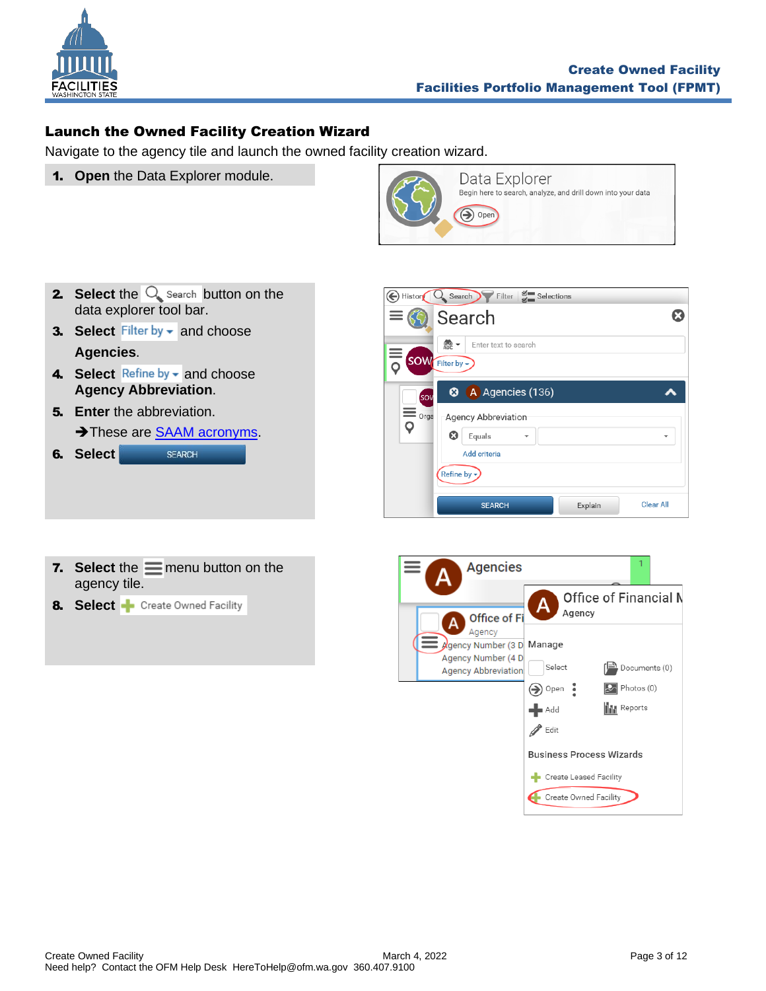

# <span id="page-2-0"></span>Launch the Owned Facility Creation Wizard

Navigate to the agency tile and launch the owned facility creation wizard.

1. **Open** the Data Explorer module.



- **2.** Select the  $\overline{Q}$  search button on the data explorer tool bar.
- **3. Select** Filter by  $\bullet$  and choose **Agencies**.
- 4. Select Refine by **v** and choose **Agency Abbreviation**.
- 5. **Enter** the abbreviation. → These are **SAAM** acronyms.
- 6. **Select SEARCH**



- **7.** Select the  $\equiv$  menu button on the agency tile.
- **8.** Select **-** Create Owned Facility

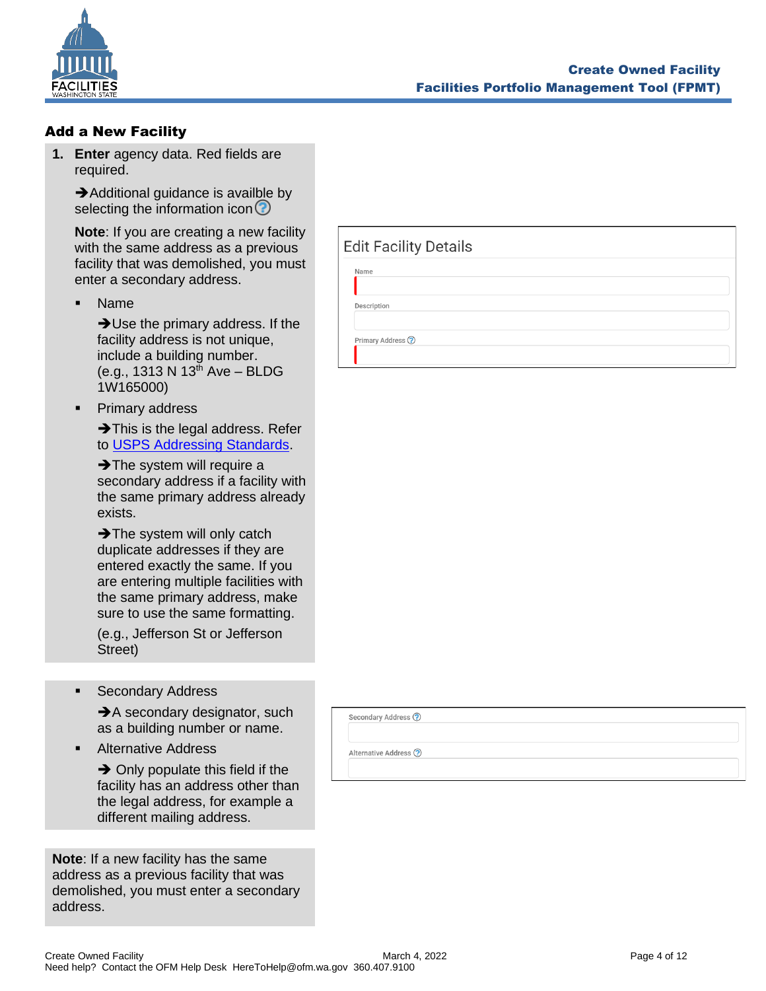

## <span id="page-3-0"></span>Add a New Facility

**1. Enter** agency data. Red fields are required.

**→**Additional guidance is availble by selecting the information icon $\odot$ 

**Note**: If you are creating a new facility with the same address as a previous facility that was demolished, you must enter a secondary address.

**Name** 

→ Use the primary address. If the facility address is not unique, include a building number. (e.g., 1313 N  $13^{th}$  Ave – BLDG 1W165000)

**Primary address** 

**→ This is the legal address. Refer** to [USPS Addressing Standards.](https://pe.usps.com/text/pub28/welcome.htm)

**→ The system will require a** secondary address if a facility with the same primary address already exists.

**→ The system will only catch** duplicate addresses if they are entered exactly the same. If you are entering multiple facilities with the same primary address, make sure to use the same formatting.

(e.g., Jefferson St or Jefferson Street)

■ Secondary Address

**→**A secondary designator, such as a building number or name.

**Alternative Address** 

 $\rightarrow$  Only populate this field if the facility has an address other than the legal address, for example a different mailing address.

**Note**: If a new facility has the same address as a previous facility that was demolished, you must enter a secondary address.

| Name        |  |  |
|-------------|--|--|
|             |  |  |
|             |  |  |
| Description |  |  |
|             |  |  |
|             |  |  |
|             |  |  |
|             |  |  |

Secondary Address ?

Alternative Address ?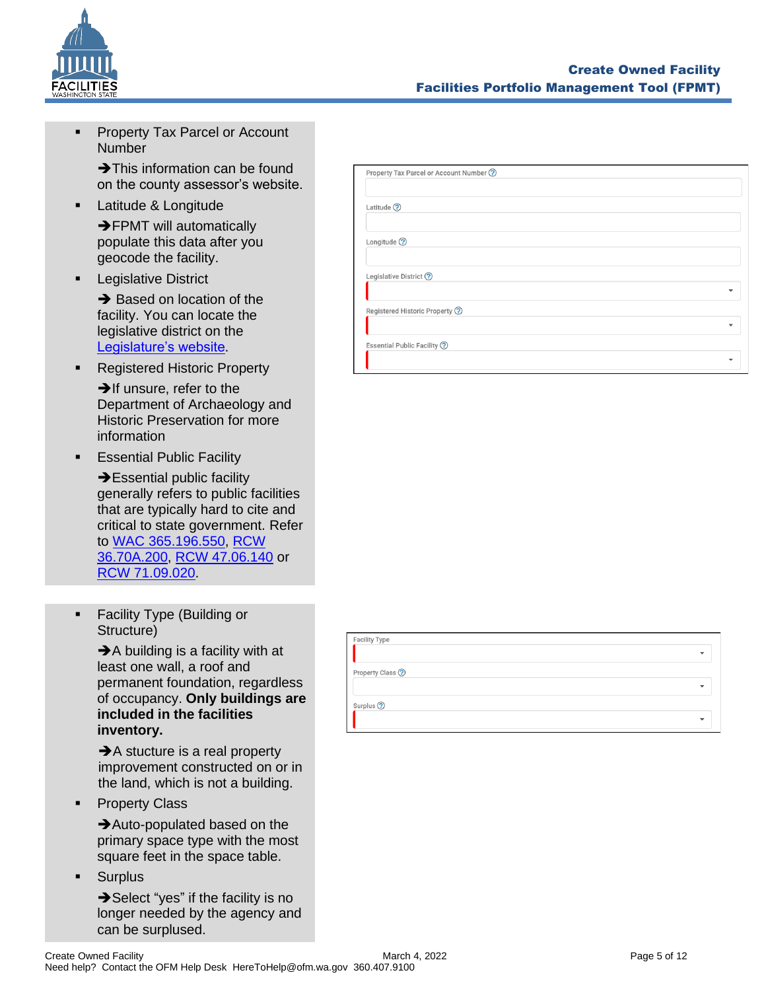

Property Tax Parcel or Account Number

**→ This information can be found** on the county assessor's website.

▪ Latitude & Longitude

**→FPMT** will automatically populate this data after you geocode the facility.

**Legislative District** 

**→** Based on location of the facility. You can locate the legislative district on the [Legislature's website.](https://app.leg.wa.gov/DistrictFinder/)

**Registered Historic Property** 

**→**If unsure, refer to the Department of Archaeology and Historic Preservation for more information

**Essential Public Facility** 

**→ Essential public facility** generally refers to public facilities that are typically hard to cite and critical to state government. Refer to [WAC 365.196.550,](https://app.leg.wa.gov/WAC/default.aspx?cite=365.196.550) [RCW](https://app.leg.wa.gov/RCW/default.aspx?cite=36.70A.200)  [36.70A.200,](https://app.leg.wa.gov/RCW/default.aspx?cite=36.70A.200) [RCW 47.06.140](https://app.leg.wa.gov/RCW/default.aspx?cite=47.06.140) or [RCW 71.09.020.](https://app.leg.wa.gov/RCW/default.aspx?cite=71.09.020)

■ Facility Type (Building or Structure)

> **→**A building is a facility with at least one wall, a roof and permanent foundation, regardless of occupancy. **Only buildings are included in the facilities inventory.**

**→**A stucture is a real property improvement constructed on or in the land, which is not a building.

**Property Class** 

➔Auto-populated based on the primary space type with the most square feet in the space table.

■ Surplus

**→ Select "yes" if the facility is no** longer needed by the agency and can be surplused.

| Property Tax Parcel or Account Number ? |  |
|-----------------------------------------|--|
|                                         |  |
|                                         |  |
| Latitude $\odot$                        |  |
|                                         |  |
|                                         |  |
| Longitude <sup>(?)</sup>                |  |
|                                         |  |
|                                         |  |
| Legislative District (?)                |  |
|                                         |  |
|                                         |  |
| Registered Historic Property ?          |  |
|                                         |  |
|                                         |  |
| Essential Public Facility ?             |  |
|                                         |  |
|                                         |  |

| Facility Type        |  |
|----------------------|--|
|                      |  |
| Property Class ?     |  |
|                      |  |
| Surplus <sup>2</sup> |  |
|                      |  |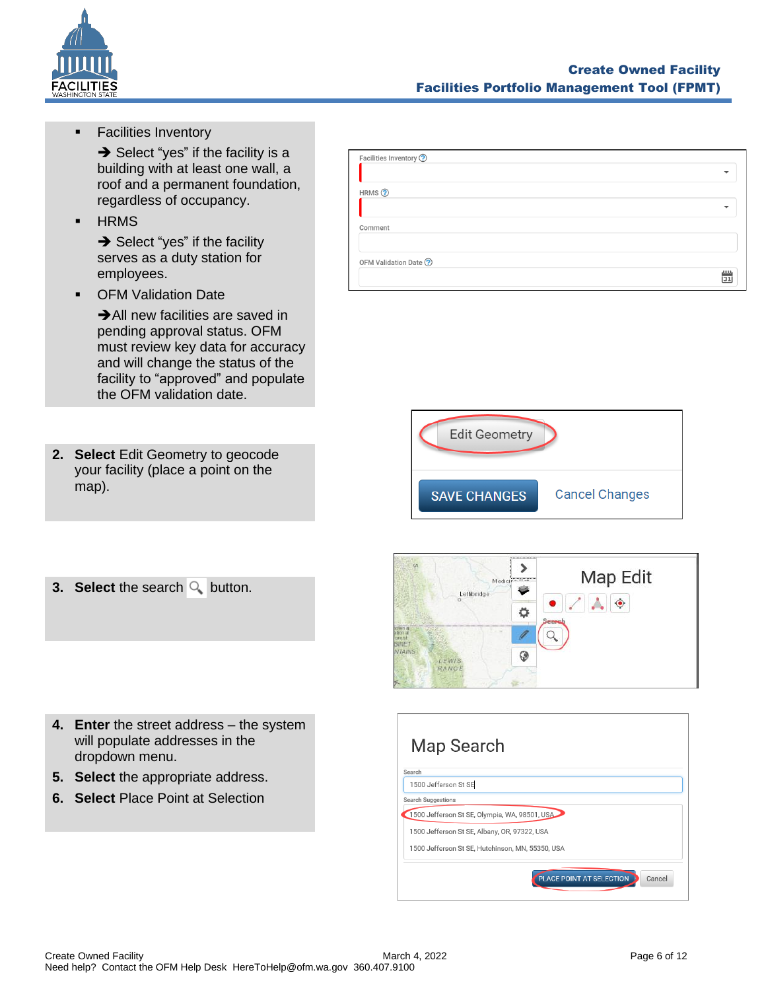

**Facilities Inventory** 

 $\rightarrow$  Select "yes" if the facility is a building with at least one wall, a roof and a permanent foundation, regardless of occupancy.

▪ HRMS

**→ Select "yes" if the facility** serves as a duty station for employees.

**OFM Validation Date** 

**→**All new facilities are saved in pending approval status. OFM must review key data for accuracy and will change the status of the facility to "approved" and populate the OFM validation date.

- **2. Select** Edit Geometry to geocode your facility (place a point on the map).
- **3.** Select the search **c** button.

- **4. Enter** the street address the system will populate addresses in the dropdown menu.
- **5. Select** the appropriate address.
- **6. Select** Place Point at Selection

| Facilities Inventory ? |        |
|------------------------|--------|
|                        |        |
| $HRMS$ $\odot$         |        |
|                        |        |
| Comment                |        |
|                        |        |
| OFM Validation Date ?  |        |
|                        | وللبلغ |





| Map Search                                       |
|--------------------------------------------------|
| Search                                           |
| 1500 Jefferson St SE                             |
| Search Suggestions                               |
| 1500 Jefferson St SE, Olympia, WA, 98501, USA    |
| 1500 Jefferson St SE, Albany, OR, 97322, USA     |
| 1500 Jefferson St SE, Hutchinson, MN, 55350, USA |
| PLACE POINT AT SELECTION<br>Cancel               |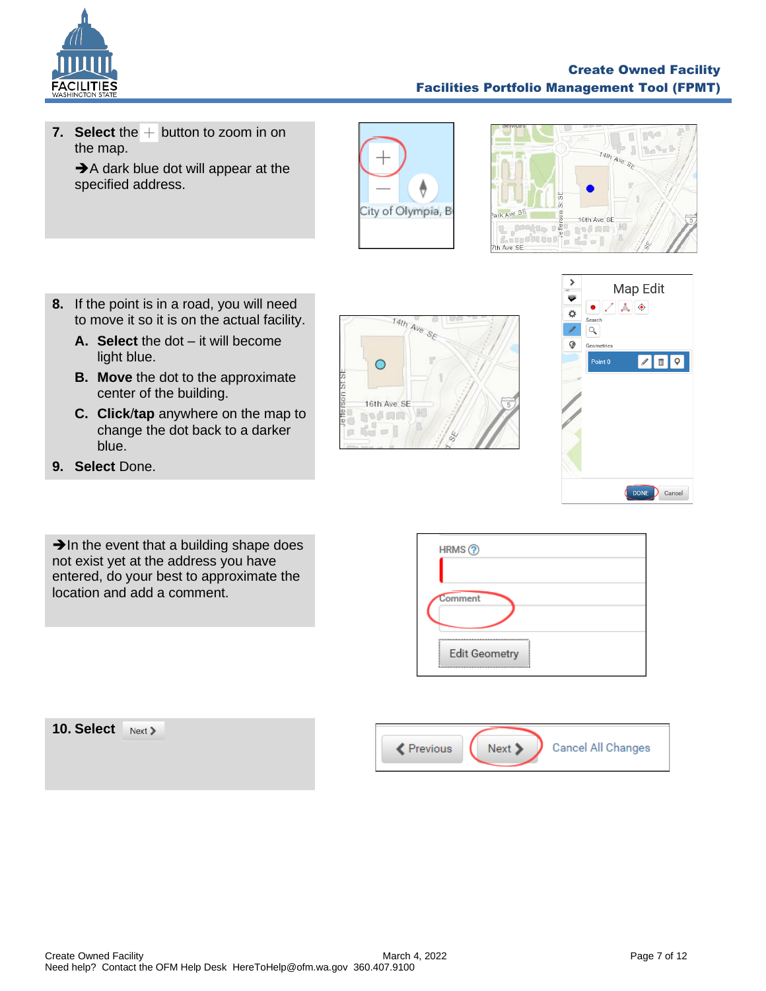

## Create Owned Facility Facilities Portfolio Management Tool (FPMT)

**7. Select** the  $+$  button to zoom in on the map.

**→**A dark blue dot will appear at the specified address.





- **8.** If the point is in a road, you will need to move it so it is on the actual facility.
	- **A. Select** the dot it will become light blue.
	- **B. Move** the dot to the approximate center of the building.
	- **C. Click**/**tap** anywhere on the map to change the dot back to a darker blue.
- **9. Select** Done.





**→In the event that a building shape does** not exist yet at the address you have entered, do your best to approximate the location and add a comment.



| 10. Select | Next > |                   |      |                    |
|------------|--------|-------------------|------|--------------------|
|            |        | <b>≮</b> Previous | Next | Cancel All Changes |
|            |        |                   |      |                    |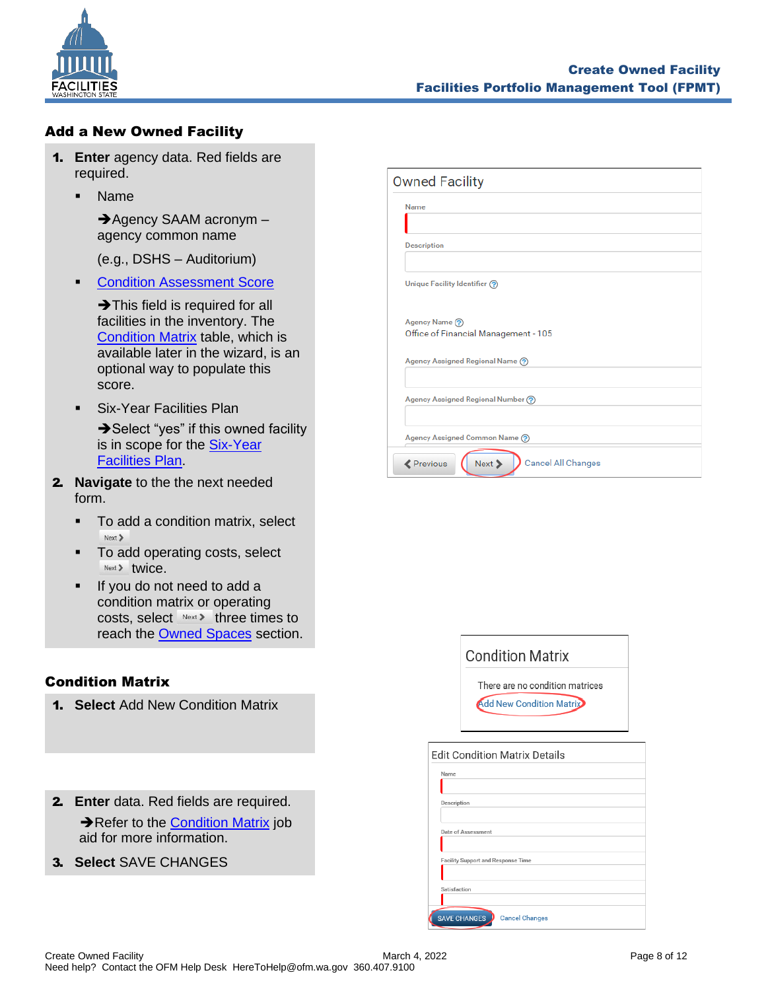

## <span id="page-7-0"></span>Add a New Owned Facility

- 1. **Enter** agency data. Red fields are required.
	- Name

➔Agency SAAM acronym – agency common name

(e.g., DSHS – Auditorium)

**[Condition Assessment Score](https://ofm.wa.gov/sites/default/files/public/itsystems/FPMT/Condition%20Assessment%20Score.pdf)** 

**→ This field is required for all** facilities in the inventory. The [Condition Matrix](https://ofm.wa.gov/sites/default/files/public/itsystems/FPMT/Condition%20Matrix%20-%20Facility.pdf) table, which is available later in the wizard, is an optional way to populate this score.

- **Six-Year Facilities Plan → Select "yes" if this owned facility** is in scope for the Six-Year [Facilities Plan.](https://ofm.wa.gov/facilities/six-year-facilities-plan)
- 2. **Navigate** to the the next needed form.
	- To add a condition matrix, select Next >
	- To add operating costs, select **Next > twice.**
	- If you do not need to add a condition matrix or operating costs, select  $N_{\text{ext}}$  three times to reach the [Owned Spaces](#page-9-0) section.

#### <span id="page-7-1"></span>Condition Matrix

- 1. **Select** Add New Condition Matrix
- 2. **Enter** data. Red fields are required. **→ Refer to the [Condition Matrix](https://ofm.wa.gov/sites/default/files/public/itsystems/FPMT/Condition%20Matrix%20-%20Facility.pdf) job** aid for more information.
- 3. **Select** SAVE CHANGES

| <b>Owned Facility</b>                                    |  |
|----------------------------------------------------------|--|
| Name                                                     |  |
|                                                          |  |
| <b>Description</b>                                       |  |
|                                                          |  |
| Unique Facility Identifier (?)                           |  |
|                                                          |  |
| Agency Name (?)                                          |  |
| Office of Financial Management - 105                     |  |
| Agency Assigned Regional Name (?)                        |  |
|                                                          |  |
| Agency Assigned Regional Number (?)                      |  |
|                                                          |  |
| Agency Assigned Common Name (?)                          |  |
| <b>Cancel All Changes</b><br><b>≮</b> Previous<br>Next > |  |

|              | <b>Condition Matrix</b>                                            |
|--------------|--------------------------------------------------------------------|
|              | There are no condition matrices<br><b>Add New Condition Matrix</b> |
|              | <b>Edit Condition Matrix Details</b>                               |
| Name         |                                                                    |
|              |                                                                    |
| Description  |                                                                    |
|              |                                                                    |
|              | Date of Assessment                                                 |
|              |                                                                    |
|              | <b>Facility Support and Response Time</b>                          |
|              |                                                                    |
| Satisfaction |                                                                    |
|              |                                                                    |

**Cancel Changes** 

**SAVE CHANGES**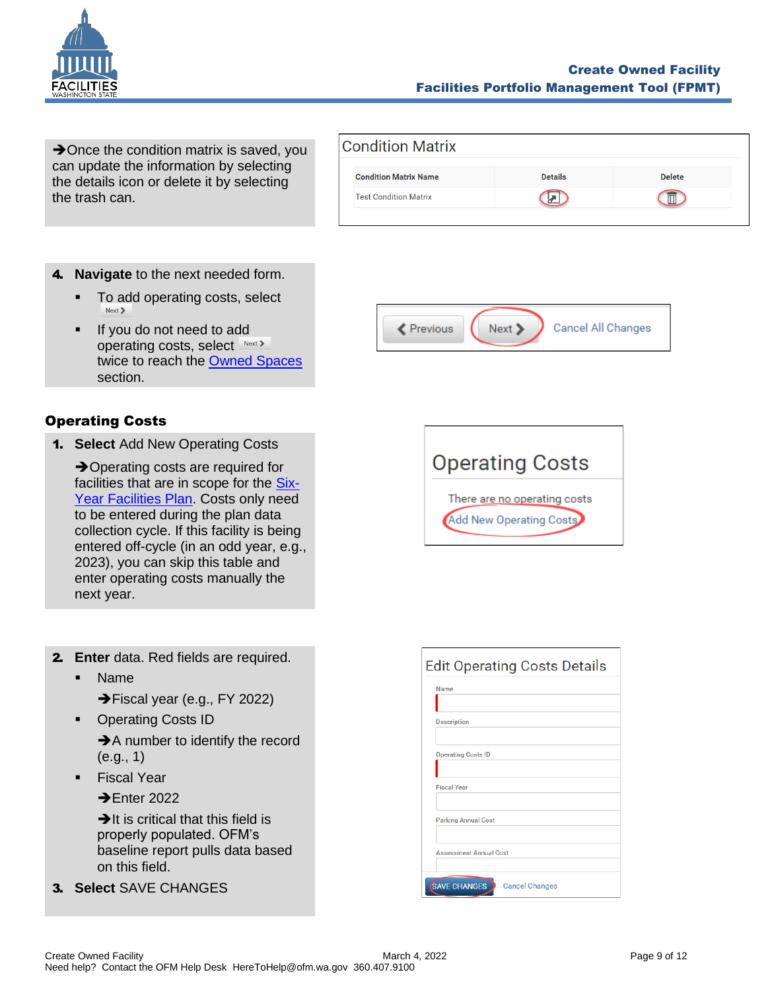#### Create Owned Facility Facilities Portfolio Management Tool (FPMT)

Cancel All Changes

**→ Once the condition matrix is saved, you** can update the information by selecting the details icon or delete it by selecting the trash can.

- - **To add operating costs, select <a>**

4. **Navigate** to the next needed form.

If you do not need to add operating costs, select Next> twice to reach the [Owned Spaces](#page-9-0) section.

# <span id="page-8-0"></span>Operating Costs

1. **Select** Add New Operating Costs

**→**Operating costs are required for facilities that are in scope for the [Six-](https://ofm.wa.gov/facilities/six-year-facilities-plan)[Year Facilities Plan.](https://ofm.wa.gov/facilities/six-year-facilities-plan) Costs only need to be entered during the plan data collection cycle. If this facility is being entered off-cycle (in an odd year, e.g., 2023), you can skip this table and enter operating costs manually the next year.

- 2. **Enter** data. Red fields are required.
	- Name

➔Fiscal year (e.g., FY 2022)

■ Operating Costs ID

**→**A number to identify the record (e.g., 1)

**Fiscal Year** 

➔Enter 2022

 $\rightarrow$  It is critical that this field is properly populated. OFM's baseline report pulls data based on this field.

3. **Select** SAVE CHANGES



| <b>Edit Operating Costs Details</b>          |  |
|----------------------------------------------|--|
| Name                                         |  |
|                                              |  |
| <b>Description</b>                           |  |
|                                              |  |
| <b>Operating Costs ID</b>                    |  |
|                                              |  |
| <b>Fiscal Year</b>                           |  |
|                                              |  |
| <b>Parking Annual Cost</b>                   |  |
|                                              |  |
| <b>Assessment Annual Cost</b>                |  |
| <b>SAVE CHANGES</b><br><b>Cancel Changes</b> |  |







Next >

**≮** Previous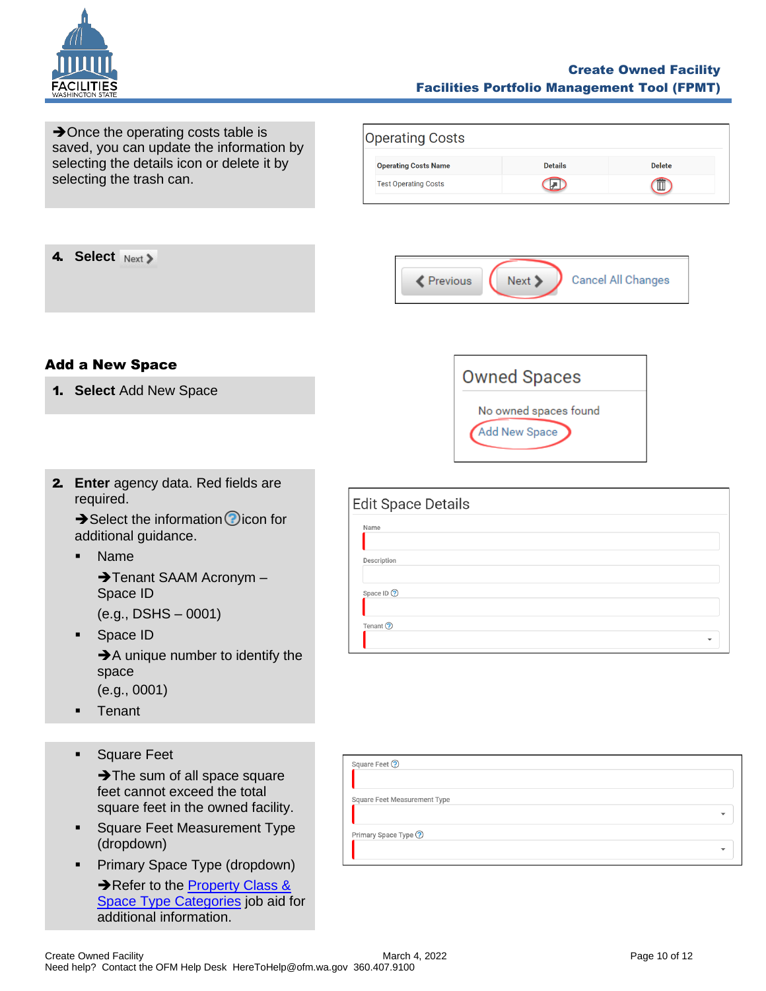

#### Create Owned Facility Facilities Portfolio Management Tool (FPMT)

**→**Once the operating costs table is saved, you can update the information by selecting the details icon or delete it by selecting the trash can.

4. Select Next >





# <span id="page-9-0"></span>Add a New Space

- 1. **Select** Add New Space
- 2. **Enter** agency data. Red fields are required.

 $\rightarrow$  Select the information  $\odot$  icon for additional guidance.

Name → Tenant SAAM Acronym – Space ID

(e.g., DSHS – 0001)

- Space ID **→**A unique number to identify the space (e.g., 0001)
- Tenant
- Square Feet

**→**The sum of all space square feet cannot exceed the total square feet in the owned facility.

- **Example 3** Square Feet Measurement Type (dropdown)
- **•** Primary Space Type (dropdown)

**→ Refer to the [Property Class](https://ofm.wa.gov/sites/default/files/public/itsystems/FPMT/Property%20Class%20and%20Space%20Type%20Overview.pdf) &** [Space Type Categories](https://ofm.wa.gov/sites/default/files/public/itsystems/FPMT/Property%20Class%20and%20Space%20Type%20Overview.pdf) job aid for additional information.



|                  | <b>Edit Space Details</b> |  |                          |
|------------------|---------------------------|--|--------------------------|
| Name             |                           |  |                          |
| Description      |                           |  |                          |
|                  |                           |  |                          |
| Space ID $\odot$ |                           |  |                          |
| Tenant $\odot$   |                           |  | $\overline{\phantom{a}}$ |

| Square Feet ?                |  |
|------------------------------|--|
|                              |  |
| Square Feet Measurement Type |  |
|                              |  |
| Primary Space Type ?         |  |
|                              |  |
|                              |  |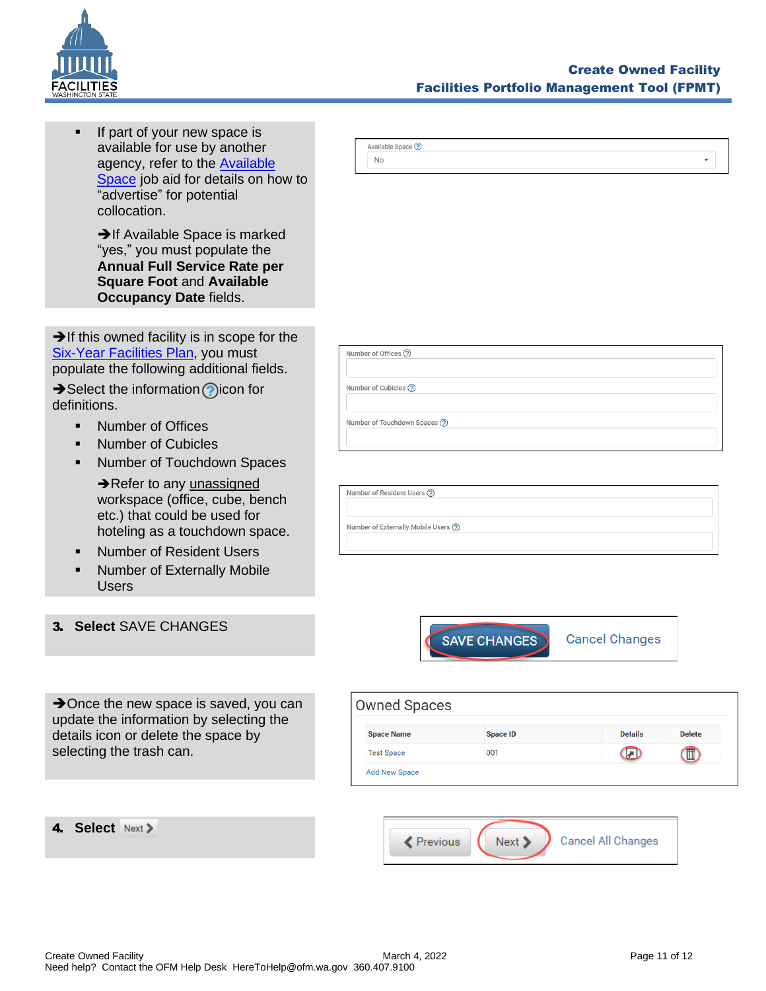

If part of your new space is available for use by another agency, refer to the [Available](https://ofm.wa.gov/sites/default/files/public/itsystems/FPMT/Available%20Space.pdf)  [Space](https://ofm.wa.gov/sites/default/files/public/itsystems/FPMT/Available%20Space.pdf) job aid for details on how to "advertise" for potential collocation.

**→If Available Space is marked** "yes," you must populate the **Annual Full Service Rate per Square Foot** and **Available Occupancy Date** fields.

**→If this owned facility is in scope for the** [Six-Year Facilities Plan,](https://ofm.wa.gov/facilities/six-year-facilities-plan) you must populate the following additional fields.

 $\rightarrow$  Select the information  $\odot$  icon for definitions.

- Number of Offices
- Number of Cubicles
- Number of Touchdown Spaces

**→ Refer to any unassigned** workspace (office, cube, bench etc.) that could be used for hoteling as a touchdown space.

- Number of Resident Users
- Number of Externally Mobile **Users**
- 3. **Select** SAVE CHANGES



| Number of Offices ?          |  |  |  |
|------------------------------|--|--|--|
| Number of Cubicles (?)       |  |  |  |
| Number of Touchdown Spaces ? |  |  |  |
|                              |  |  |  |

| (?) Number of Resident Users          |  |
|---------------------------------------|--|
|                                       |  |
|                                       |  |
| (?) Vumber of Externally Mobile Users |  |
|                                       |  |



| $\rightarrow$ Once the new space is saved, you can |
|----------------------------------------------------|
| update the information by selecting the            |
| details icon or delete the space by                |
| selecting the trash can.                           |

| Owned Spaces      |                 |                |               |
|-------------------|-----------------|----------------|---------------|
| <b>Space Name</b> | <b>Space ID</b> | <b>Details</b> | <b>Delete</b> |
| <b>Test Space</b> | 001             | (La I          | IШ            |

## 4. Select Next >